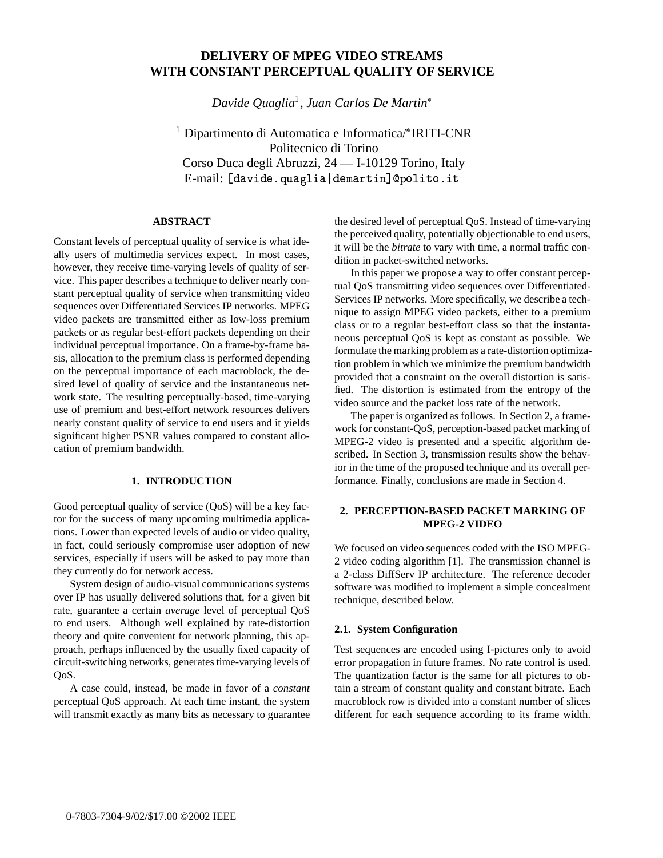# **DELIVERY OF MPEG VIDEO STREAMS WITH CONSTANT PERCEPTUAL QUALITY OF SERVICE**

*Davide Quaglia , Juan Carlos De Martin*

 $^1$  Dipartimento di Automatica e Informatica/\*IRITI-CNR Politecnico di Torino Corso Duca degli Abruzzi, 24 — I-10129 Torino, Italy E-mail: [davide.quaglia|demartin]@polito.it

# **ABSTRACT**

Constant levels of perceptual quality of service is what ideally users of multimedia services expect. In most cases, however, they receive time-varying levels of quality of service. This paper describes a technique to deliver nearly constant perceptual quality of service when transmitting video sequences over Differentiated Services IP networks. MPEG video packets are transmitted either as low-loss premium packets or as regular best-effort packets depending on their individual perceptual importance. On a frame-by-frame basis, allocation to the premium class is performed depending on the perceptual importance of each macroblock, the desired level of quality of service and the instantaneous network state. The resulting perceptually-based, time-varying use of premium and best-effort network resources delivers nearly constant quality of service to end users and it yields significant higher PSNR values compared to constant allocation of premium bandwidth.

## **1. INTRODUCTION**

Good perceptual quality of service (QoS) will be a key factor for the success of many upcoming multimedia applications. Lower than expected levels of audio or video quality, in fact, could seriously compromise user adoption of new services, especially if users will be asked to pay more than they currently do for network access.

System design of audio-visual communications systems over IP has usually delivered solutions that, for a given bit rate, guarantee a certain *average* level of perceptual QoS to end users. Although well explained by rate-distortion theory and quite convenient for network planning, this approach, perhaps influenced by the usually fixed capacity of circuit-switching networks, generatestime-varying levels of QoS.

A case could, instead, be made in favor of a *constant* perceptual QoS approach. At each time instant, the system will transmit exactly as many bits as necessary to guarantee the desired level of perceptual QoS. Instead of time-varying the perceived quality, potentially objectionable to end users, it will be the *bitrate* to vary with time, a normal traffic condition in packet-switched networks.

In this paper we propose a way to offer constant perceptual QoS transmitting video sequences over Differentiated-Services IP networks. More specifically, we describe a technique to assign MPEG video packets, either to a premium class or to a regular best-effort class so that the instantaneous perceptual QoS is kept as constant as possible. We formulate the marking problem as a rate-distortion optimization problem in which we minimize the premium bandwidth provided that a constraint on the overall distortion is satisfied. The distortion is estimated from the entropy of the video source and the packet loss rate of the network.

The paper is organized as follows. In Section 2, a framework for constant-QoS, perception-based packet marking of MPEG-2 video is presented and a specific algorithm described. In Section 3, transmission results show the behavior in the time of the proposed technique and its overall performance. Finally, conclusions are made in Section 4.

# **2. PERCEPTION-BASED PACKET MARKING OF MPEG-2 VIDEO**

We focused on video sequences coded with the ISO MPEG-2 video coding algorithm [1]. The transmission channel is a 2-class DiffServ IP architecture. The reference decoder software was modified to implement a simple concealment technique, described below.

#### **2.1. System Configuration**

Test sequences are encoded using I-pictures only to avoid error propagation in future frames. No rate control is used. The quantization factor is the same for all pictures to obtain a stream of constant quality and constant bitrate. Each macroblock row is divided into a constant number of slices different for each sequence according to its frame width.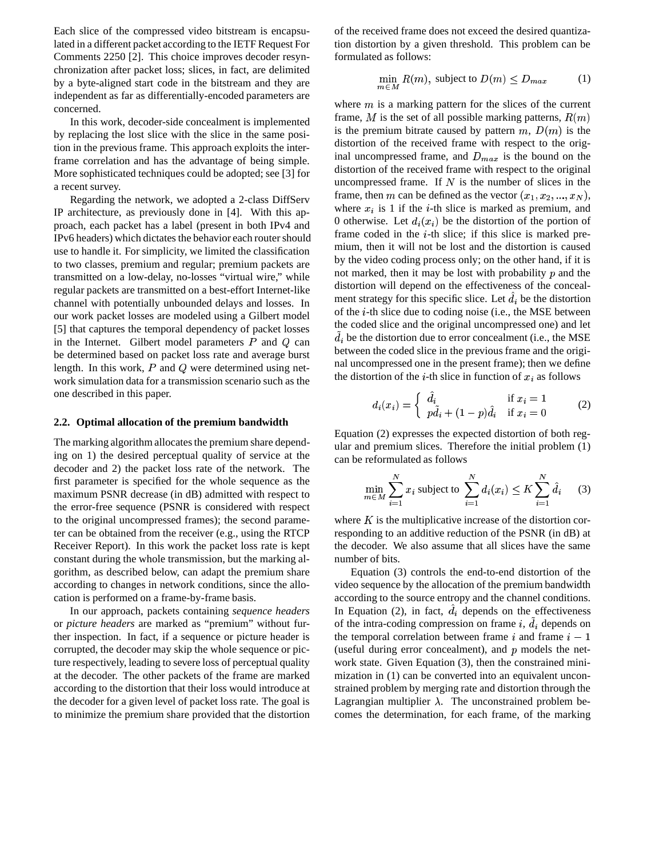Each slice of the compressed video bitstream is encapsulated in a different packet according to the IETF Request For Comments 2250 [2]. This choice improves decoder resynchronization after packet loss; slices, in fact, are delimited by a byte-aligned start code in the bitstream and they are independent as far as differentially-encoded parameters are concerned.

In this work, decoder-side concealment is implemented by replacing the lost slice with the slice in the same position in the previous frame. This approach exploits the interframe correlation and has the advantage of being simple. More sophisticated techniques could be adopted; see [3] for a recent survey.

Regarding the network, we adopted a 2-class DiffServ IP architecture, as previously done in [4]. With this approach, each packet has a label (present in both IPv4 and IPv6 headers) which dictates the behavior each router should use to handle it. For simplicity, we limited the classification to two classes, premium and regular; premium packets are transmitted on a low-delay, no-losses "virtual wire," while regular packets are transmitted on a best-effort Internet-like channel with potentially unbounded delays and losses. In our work packet losses are modeled using a Gilbert model [5] that captures the temporal dependency of packet losses in the Internet. Gilbert model parameters  $P$  and  $Q$  can be determined based on packet loss rate and average burst length. In this work,  $P$  and  $Q$  were determined using network simulation data for a transmission scenario such as the one described in this paper.

#### **2.2. Optimal allocation of the premium bandwidth**

The marking algorithm allocates the premium share depending on 1) the desired perceptual quality of service at the decoder and 2) the packet loss rate of the network. The first parameter is specified for the whole sequence as the maximum PSNR decrease (in dB) admitted with respect to the error-free sequence (PSNR is considered with respect to the original uncompressed frames); the second parameter can be obtained from the receiver (e.g., using the RTCP Receiver Report). In this work the packet loss rate is kept constant during the whole transmission, but the marking algorithm, as described below, can adapt the premium share according to changes in network conditions, since the allocation is performed on a frame-by-frame basis.

In our approach, packets containing *sequence headers* or *picture headers* are marked as "premium" without further inspection. In fact, if a sequence or picture header is corrupted, the decoder may skip the whole sequence or picture respectively, leading to severe loss of perceptual quality at the decoder. The other packets of the frame are marked according to the distortion that their loss would introduce at the decoder for a given level of packet loss rate. The goal is to minimize the premium share provided that the distortion

of the received frame does not exceed the desired quantization distortion by a given threshold. This problem can be formulated as follows:

$$
\min_{m \in M} R(m), \text{ subject to } D(m) \le D_{max} \tag{1}
$$

where  $m$  is a marking pattern for the slices of the current frame, M is the set of all possible marking patterns,  $R(m)$ is the premium bitrate caused by pattern  $m$ ,  $D(m)$  is the distortion of the received frame with respect to the original uncompressed frame, and  $D_{max}$  is the bound on the distortion of the received frame with respect to the original uncompressed frame. If  $N$  is the number of slices in the frame, then  $m$  can be defined as the vector  $(x_1, x_2, ..., x_N)$ , where  $x_i$  is 1 if the *i*-th slice is marked as premium, and 0 otherwise. Let  $d_i(x_i)$  be the distortion of the portion of frame coded in the  $i$ -th slice; if this slice is marked premium, then it will not be lost and the distortion is caused by the video coding process only; on the other hand, if it is not marked, then it may be lost with probability  $p$  and the distortion will depend on the effectiveness of the concealment strategy for this specific slice. Let  $d_i$  be the distortion of the  $i$ -th slice due to coding noise (i.e., the MSE between the coded slice and the original uncompressed one) and let  $\tilde{d}_i$  be the distortion due to error concealment (i.e., the MSE between the coded slice in the previous frame and the original uncompressed one in the present frame); then we define the distortion of the *i*-th slice in function of  $x_i$  as follows

$$
d_i(x_i) = \begin{cases} \n\hat{d}_i & \text{if } x_i = 1 \\ \np\hat{d}_i + (1-p)\hat{d}_i & \text{if } x_i = 0 \n\end{cases} \tag{2}
$$

Equation (2) expresses the expected distortion of both regular and premium slices. Therefore the initial problem (1) can be reformulated as follows

$$
\min_{m \in M} \sum_{i=1}^{N} x_i \text{ subject to } \sum_{i=1}^{N} d_i(x_i) \le K \sum_{i=1}^{N} \hat{d}_i \qquad (3)
$$

where  $K$  is the multiplicative increase of the distortion corresponding to an additive reduction of the PSNR (in dB) at the decoder. We also assume that all slices have the same number of bits.

Equation (3) controls the end-to-end distortion of the video sequence by the allocation of the premium bandwidth according to the source entropy and the channel conditions. In Equation (2), in fact,  $d_i$  depends on the effectiveness of the intra-coding compression on frame i,  $\tilde{d}_i$  depends on the temporal correlation between frame  $i$  and frame  $i - 1$ (useful during error concealment), and  $p$  models the network state. Given Equation (3), then the constrained minimization in (1) can be converted into an equivalent unconstrained problem by merging rate and distortion through the Lagrangian multiplier  $\lambda$ . The unconstrained problem becomes the determination, for each frame, of the marking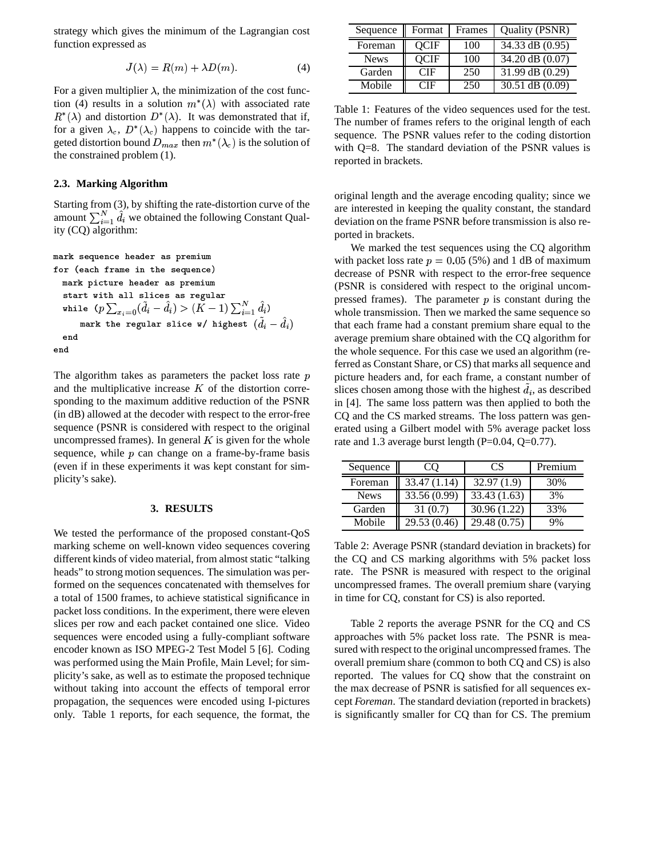strategy which gives the minimum of the Lagrangian cost function expressed as

$$
J(\lambda) = R(m) + \lambda D(m). \tag{4}
$$

For a given multiplier  $\lambda$ , the minimization of the cost function (4) results in a solution  $m^*(\lambda)$  with associated rate for a given  $\lambda_c$ ,  $D^*(\lambda_c)$  happens to coincide with the tar- $^*(\lambda)$  and distortion  $D^*(\lambda)$ . It was demonstrated that if, geted distortion bound  $D_{max}$  then  $m^*(\lambda_c)$  is the solution of the constrained problem (1).

### **2.3. Marking Algorithm**

Starting from (3), by shifting the rate-distortion curve of the amount  $\sum_{i=1}^{N} d_i$  we obtained the following Constant Quality (CQ) algorithm:

```

	
	
	! "

for (each frame in the sequence)
  	
- 
)	
	+
	(! (

)
	). 
)//-
/ 
*
0	1/	
  while (p\sum_{x_i=0}(\tilde{d}_i-\hat{d}_i)>(K-1)\sum_{i=1}^N\hat{d}_i)mark the regular slice w/ highest (\widetilde{d}_i - \widehat{d}_i) t
 end
end
```
The algorithm takes as parameters the packet loss rate  $p$ and the multiplicative increase  $K$  of the distortion corresponding to the maximum additive reduction of the PSNR (in dB) allowed at the decoder with respect to the error-free sequence (PSNR is considered with respect to the original uncompressed frames). In general  $K$  is given for the whole sequence, while  $p$  can change on a frame-by-frame basis (even if in these experiments it was kept constant for simplicity's sake).

### **3. RESULTS**

We tested the performance of the proposed constant-QoS marking scheme on well-known video sequences covering different kinds of video material, from almost static "talking heads" to strong motion sequences. The simulation was performed on the sequences concatenated with themselves for a total of 1500 frames, to achieve statistical significance in packet loss conditions. In the experiment, there were eleven slices per row and each packet contained one slice. Video sequences were encoded using a fully-compliant software encoder known as ISO MPEG-2 Test Model 5 [6]. Coding was performed using the Main Profile, Main Level; for simplicity's sake, as well as to estimate the proposed technique without taking into account the effects of temporal error propagation, the sequences were encoded using I-pictures only. Table 1 reports, for each sequence, the format, the

| Sequence    | Format      | Frames | Quality (PSNR)    |
|-------------|-------------|--------|-------------------|
| Foreman     | <b>QCIF</b> | 100    | 34.33 dB (0.95)   |
| <b>News</b> | <b>OCIF</b> | 100    | 34.20 dB (0.07)   |
| Garden      | <b>CIF</b>  | 250    | 31.99 dB (0.29)   |
| Mobile      | CIE         | 250    | 30.51 dB $(0.09)$ |

Table 1: Features of the video sequences used for the test. The number of frames refers to the original length of each sequence. The PSNR values refer to the coding distortion with Q=8. The standard deviation of the PSNR values is reported in brackets.

original length and the average encoding quality; since we are interested in keeping the quality constant, the standard deviation on the frame PSNR before transmission is also reported in brackets.

We marked the test sequences using the CQ algorithm with packet loss rate  $p = 0.05$  (5%) and 1 dB of maximum decrease of PSNR with respect to the error-free sequence (PSNR is considered with respect to the original uncompressed frames). The parameter  $p$  is constant during the whole transmission. Then we marked the same sequence so that each frame had a constant premium share equal to the average premium share obtained with the CQ algorithm for the whole sequence. For this case we used an algorithm (referred as Constant Share, or CS) that marks all sequence and picture headers and, for each frame, a constant number of slices chosen among those with the highest  $\tilde{d}_i$ , as described in [4]. The same loss pattern was then applied to both the CQ and the CS marked streams. The loss pattern was generated using a Gilbert model with 5% average packet loss rate and 1.3 average burst length (P= $0.04$ , Q= $0.77$ ).

| Sequence    | CO.          | CS           | Premium |
|-------------|--------------|--------------|---------|
| Foreman     | 33.47(1.14)  | 32.97(1.9)   | 30%     |
| <b>News</b> | 33.56 (0.99) | 33.43(1.63)  | 3%      |
| Garden      | 31(0.7)      | 30.96(1.22)  | 33%     |
| Mobile      | 29.53 (0.46) | 29.48 (0.75) | 9%      |

Table 2: Average PSNR (standard deviation in brackets) for the CQ and CS marking algorithms with 5% packet loss rate. The PSNR is measured with respect to the original uncompressed frames. The overall premium share (varying in time for CQ, constant for CS) is also reported.

Table 2 reports the average PSNR for the CQ and CS approaches with 5% packet loss rate. The PSNR is measured with respect to the original uncompressed frames. The overall premium share (common to both CQ and CS) is also reported. The values for CQ show that the constraint on the max decrease of PSNR is satisfied for all sequences except *Foreman*. The standard deviation (reported in brackets) is significantly smaller for CQ than for CS. The premium